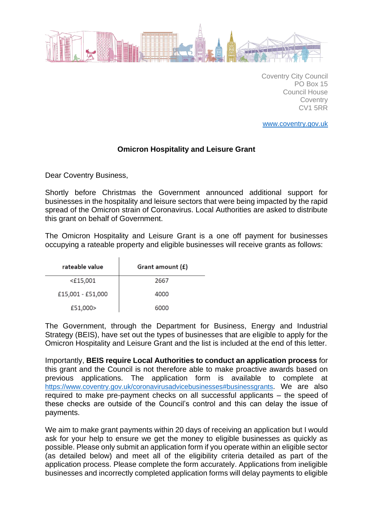

Coventry City Council PO Box 15 Council House **Coventry** CV1 5RR

[www.coventry.gov.uk](http://www.coventry.gov.uk/)

## **Omicron Hospitality and Leisure Grant**

Dear Coventry Business,

Shortly before Christmas the Government announced additional support for businesses in the hospitality and leisure sectors that were being impacted by the rapid spread of the Omicron strain of Coronavirus. Local Authorities are asked to distribute this grant on behalf of Government.

The Omicron Hospitality and Leisure Grant is a one off payment for businesses occupying a rateable property and eligible businesses will receive grants as follows:

| rateable value    | Grant amount (£) |
|-------------------|------------------|
| <£15,001          | 2667             |
| £15,001 - £51,000 | 4000             |
| £51,000>          | 6000             |

The Government, through the Department for Business, Energy and Industrial Strategy (BEIS), have set out the types of businesses that are eligible to apply for the Omicron Hospitality and Leisure Grant and the list is included at the end of this letter.

Importantly, **BEIS require Local Authorities to conduct an application process** for this grant and the Council is not therefore able to make proactive awards based on previous applications. The application form is available to complete at <https://www.coventry.gov.uk/coronavirusadvicebusinesses#businessgrants>. We are also required to make pre-payment checks on all successful applicants – the speed of these checks are outside of the Council's control and this can delay the issue of payments.

We aim to make grant payments within 20 days of receiving an application but I would ask for your help to ensure we get the money to eligible businesses as quickly as possible. Please only submit an application form if you operate within an eligible sector (as detailed below) and meet all of the eligibility criteria detailed as part of the application process. Please complete the form accurately. Applications from ineligible businesses and incorrectly completed application forms will delay payments to eligible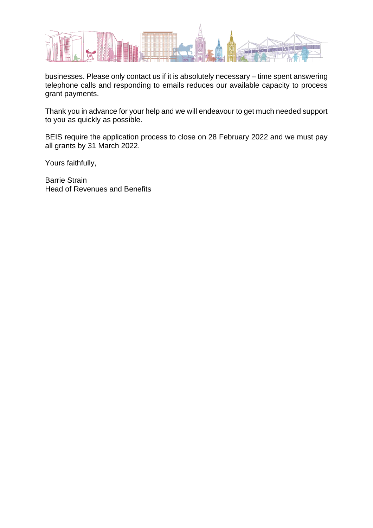

businesses. Please only contact us if it is absolutely necessary – time spent answering telephone calls and responding to emails reduces our available capacity to process grant payments.

Thank you in advance for your help and we will endeavour to get much needed support to you as quickly as possible.

BEIS require the application process to close on 28 February 2022 and we must pay all grants by 31 March 2022.

Yours faithfully,

Barrie Strain Head of Revenues and Benefits